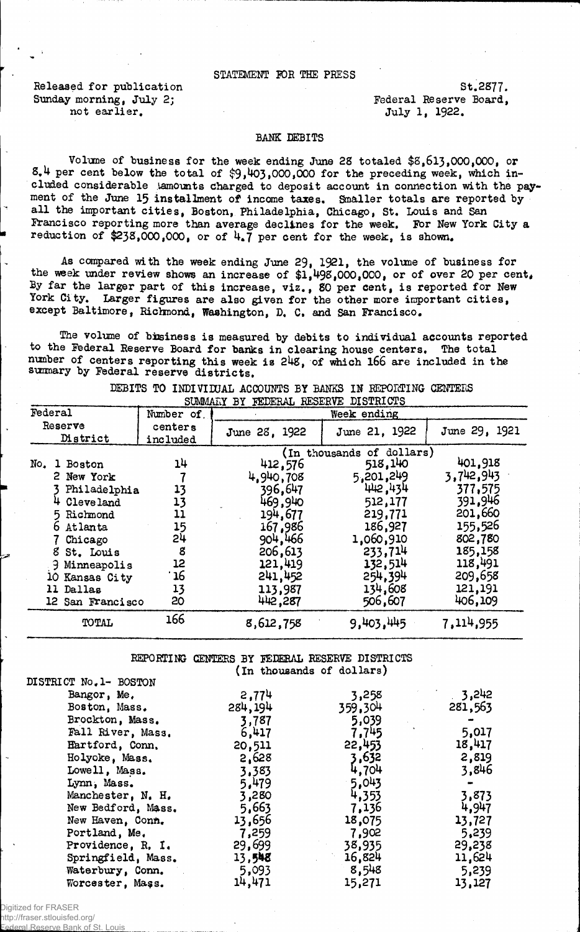## STATEMENT POE THE PRESS

Released for publication  $St.2877$ . Sunday morning, July 2; The Contract Reserve Board, Sunday morning, July 2; not earlier.<br>  $\text{July 1, 1922.}$ 

## BANK DEBITS

Volume of business for the week ending June 28 totaled  $$8,613,000,000$ , or  $8.4$  per cent below the total of  $$9,403,000,000$  for the preceding week, which included considerable lamounts charged to deposit account in connection with the payment of the June 15 installment of income taxes. Smaller totals are reported by all the important cities, Boston, Philadelphia, Chicago, St. Louis and San Francisco reporting more than average declines for the week. For New York City a reduction of \$238,000,000, or of  $4.7$  per cent for the week, is shown.

As compared with the week ending June 29, 1921, the volume of business for the week under review shows an increase of  $1,498,000,000$ , or of over 20 per cent. By far the larger part of this increase, viz., 80 per cent, is reported for New York City. Larger figures are also given for the other more important cities, except Baltimore, Richmond, Washington, D. C. and San Francisco.

The volume of bisiness is measured by debits to individual accounts reported to the Federal Reserve Board for banks in clearing house centers. The total number of centers reporting this week is 248, of which 166 are included in the sumary by Federal reserve districts.

|                     | DUWWALI DI FELERAL REDERVE DISIRICIS |                     |               |                           |               |  |  |  |
|---------------------|--------------------------------------|---------------------|---------------|---------------------------|---------------|--|--|--|
| Federal             |                                      | Number of           | Week ending   |                           |               |  |  |  |
| Reserve<br>District |                                      | centers<br>included | June 28, 1922 | June 21, 1922             | June 29, 1921 |  |  |  |
|                     |                                      |                     |               | (In thousands of dollars) |               |  |  |  |
| No.                 | 1 Boston                             | 14                  | 412,576       | 518,140                   | 401,918       |  |  |  |
|                     | 2 New York                           |                     | 4,940,708     | 5,201,249                 | 3,742,943     |  |  |  |
|                     | Philadelphia                         | 13                  | 396,647       | 442,434                   | 377,575       |  |  |  |
|                     | 4 Cleveland                          | 13                  | 469,940       | 512,177                   | 391,946       |  |  |  |
|                     | 5 Richmond                           | 11                  | 194,677       | 219,771                   | 201,660       |  |  |  |
|                     | 6 Atlanta                            | 15                  | 167,986       | 186,927                   | 155,526       |  |  |  |
|                     | Chicago                              | 24                  | 904,466       | 1,060,910                 | 802,780       |  |  |  |
| 8                   | St. Louis                            | 8                   | 206,613       | 233,714                   | 185,158       |  |  |  |
|                     | <b>J</b> Minneapolis                 | 12                  | 121,419       | 132,514                   | 118,491       |  |  |  |
|                     | 10 Kansas City                       | 16                  | 241,452       | 254,394                   | 209,658       |  |  |  |
|                     | 11 Dallas                            | 13                  | 113,987       | 134,608                   | 121,191       |  |  |  |
|                     | 12 San Francisco                     | 20                  | 442,287       | 506,607                   | 406,109       |  |  |  |
|                     | TOTAL                                | 166                 | 8,612,758     | 9,403,445                 | 7,114,955     |  |  |  |

DEBITS TO INDIVIDUAL ACCOUNTS BY BANKS IN REPORTING CENTERS SUMMARY BY FEDERAL RESERVE DISTRICTS  $\overline{M}$ *AI***<sub>***X</sub>* $\overline{M}$ *y**FEDERAL RESE*</sub>

REPORTING CENTERS BY FEDERAL RESERVE DISTRICTS (In thousands of dollars)

| DISTRICT No. 1- BOSTON |         |         |         |
|------------------------|---------|---------|---------|
| Bangor, Me.            | 2,774   | 3,258   | 3,242   |
| Boston, Mass.          | 284,194 | 359,304 | 281,563 |
| Brockton, Mass.        | 3,787   | 5,039   |         |
| Fall River, Mass.      | 6,417   | 7,745   | 5,017   |
| Hartford, Conn.        | 20,511  | 22,453  | 18,417  |
| Holyoke, Mass.         | 2,628   | 3,632   | 2,819   |
| Lowell, Mass.          | 3,383   | 4,704   | 3,846   |
| Lynn, Mass.            | 5.479   | 5.043   |         |
| Manchester, N. H.      | 3,280   | 4,353   | 3,873   |
| New Bedford, Mass.     | 5,663   | 7,136   | 4,947   |
| New Haven, Conn.       | 13,656  | 18,075  | 13,727  |
| Portland, Me.          | 7,259   | 7,902   | 5,239   |
| Providence, R. I.      | 29,699  | 38,935  | 29,238  |
| Springfield, Mass.     | 13,548  | 16,824  | 11,624  |
| Waterbury, Conn.       | 5,093   | 8,548   | 5,239   |
| Worcester, Mass.       | 14,471  | 15,271  | 13,127  |

Digitized for FRASER

http://fraser.stlouisfed.org/ Federal Reserve Bank of St. Louis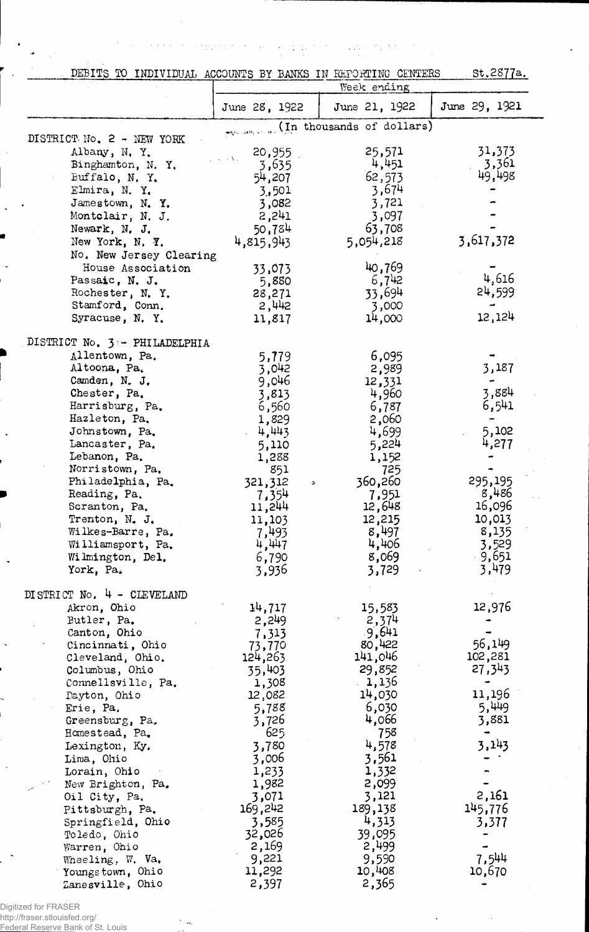$\hat{\sigma}_{\hat{a}}$  $\frac{1}{2}$  ,  $\frac{1}{2}$  $\sim 15$ 

 $\alpha$  ,  $\alpha$  ,  $\alpha$ 

 $\epsilon \rightarrow \gamma$ 

DEBITS TO INDIVIDUAL ACCOUNTS BY BANKS IN REPORTING CENTERS St.2877a.

 $\mathcal{O}(\mathcal{O}(\log n) \times \log n)$ 

 $\omega = 1/\omega$ 

|                                           |                            | Week ending               |                 |
|-------------------------------------------|----------------------------|---------------------------|-----------------|
|                                           | June 28, 1922              | June 21, 1922             | June 29, 1921   |
|                                           |                            | (In thousands of dollars) |                 |
| DISTRICT No. 2 - NEW YORK                 |                            |                           |                 |
| Albany, N.Y.                              | 20,955                     | 25,571                    | 31,373<br>3,361 |
| Binghamton, N.Y.                          | 3,635                      | 4,451                     | 49,498          |
| Buffalo, N.Y.<br>Elmira, N.Y.             | 54,207                     | 62,573<br>3,674           |                 |
| Jamestown, N.Y.                           | 3,501<br>3,082             | 3,721                     |                 |
| Montclair, N. J.                          | 2,241                      | 3,097                     |                 |
| Newark, N. J.                             | 50,784                     | 63,708                    |                 |
| New York, N. Y.                           | 4,815,943                  | 5,054,218                 | 3,617,372       |
| No. New Jersey Clearing                   |                            |                           |                 |
| House Association                         | 33,073                     | 40,769                    |                 |
| Passaic, N. J.                            | 5,880                      | 6,742                     | 4,616           |
| Rochester, N.Y.                           | 28,271                     | 33,694                    | 24,599          |
| Stamford, Conn.                           | 2,442                      | 3,000                     |                 |
| Syracuse, N.Y.                            | 11,817                     | 14,000                    | 12,124          |
| DISTRICT No. 3 - PHILADELPHIA             |                            |                           |                 |
| Allentown, Pa.                            | 5,779                      | 6,095                     |                 |
| Altoona, Pa.                              | 3,042                      | 2,989                     | 3,187           |
| Camden, N. J.                             | 9,046                      | 12,331                    |                 |
| Chester, Pa.                              | 3,813                      | 4,960                     | 3,884           |
| Harrisburg, Pa.                           | 6,560                      | 6,787                     | 6,541           |
| Hazleton, Pa.<br>Johnstown, Pa.           | 1,829                      | 2,060                     | 5,102           |
| Lancaster, Pa.                            | 4,443<br>5,110             | 4,699<br>5,224            | 4,277           |
| Lebanon, Pa.                              | 1,288                      | 1,152                     |                 |
| Norristown, Pa.                           | 851                        | 725                       |                 |
| Philadelphia, Pa.                         | 321,312<br>$\hat{\varphi}$ | 360,260                   | 295,195         |
| Reading, Pa.                              | 7,354                      | 7,951                     | 8,486           |
| Scranton, Pa.                             | 11,244                     | 12,648                    | 16,096          |
| Trenton, N. J.                            | 11,103                     | 12,215                    | 10,013          |
| Wilkes-Barre, Pa,                         | 7,493                      | 8,497                     | 8,135           |
| Williamsport, Pa.                         | 4,447                      | 4,406<br>8,069            | 3,529<br>9,651  |
| Wilmington, Del.<br>York, Pa.             | 6,790<br>3,936             | 3,729                     | 3,479           |
|                                           |                            |                           |                 |
| DISTRICT No. 4 - CLEVELAND<br>Akron, Ohio | 14,717                     |                           | 12,976          |
| Butler, Pa.                               | 2,249                      | 15,583<br>2,374           |                 |
| Canton, Ohio                              | 7,313                      | 9,641                     |                 |
| Cincinnati, Ohio                          | 73,770                     | 80,422                    | 56,149          |
| Cleveland, Ohio.                          | 124,263                    | 141,046                   | 102,281         |
| Columbus, Ohio                            | 35,403                     | 29,852                    | 27,343          |
| Connellsville, Pa.                        | 1,308                      | 1,136                     |                 |
| Dayton, Ohio                              | 12,082                     | 14,030                    | 11,196          |
| Erie, Pa.                                 | 5,788                      | 6,030                     | 5,449           |
| Greensburg, Pa.                           | 3,726<br>625               | 4,066<br>758              | 3,881           |
| Homestead, Pa.<br>Lexington, Ky.          | 3,780                      | 4,578                     | 3,143           |
| Lima, Ohio                                | 3,006                      | 3,561                     |                 |
| Lorain, Ohio                              | 1,233                      | 1,332                     |                 |
| New Brighton, Pa.                         | 1,982                      | 2,099                     |                 |
| Oil City, Pa.                             | 3,071                      | 3,121                     | 2,161           |
| Pittsburgh, Pa.                           | 169,242                    | 189,138                   | 145,776         |
| Springfield, Ohio                         | 3,585                      | 4,313                     | 3,377           |
| Toledo, Ohio                              | 32,026                     | 39,095                    |                 |
| Warren, Ohio                              | 2,169                      | 2,499                     |                 |
| Wheeling, W. Va.                          | 9,221<br>11,292            | 9,590<br>10,408           | 7,544<br>10,670 |
| Youngstown, Ohio<br>Zanesville, Ohio      | 2,397                      | 2,365                     |                 |
|                                           |                            |                           |                 |

Digitized for FRASER http://fraser.stlouisfed.org/

Federal Reserve Bank of St. Louis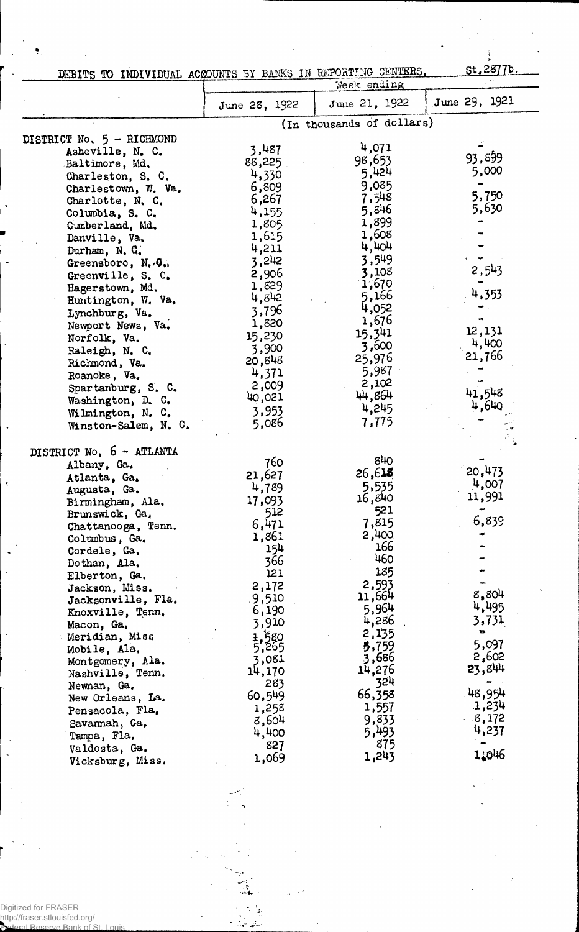| TEBITS TO INDIVIDUAL ACROUNTS BY BANKS IN REPORTING CENTERS. |  |  |  | St. 2877b. |
|--------------------------------------------------------------|--|--|--|------------|
|                                                              |  |  |  |            |

Ì

|                           |               | Week ending               |               |
|---------------------------|---------------|---------------------------|---------------|
|                           | June 28, 1922 | June 21, 1922             | June 29, 1921 |
|                           |               | (In thousands of dollars) |               |
| DISTRICT No. 5 - RICHMOND |               |                           |               |
| Asheville, N. C.          | 3,487         | 4,071                     | 93,899        |
| Baltimore, Md.            | 88,225        | 98,653                    | 5,000         |
| Charleston, S. C.         | 4,330         | 5,424                     |               |
| Charlestown, W. Va.       | 6,809         | 9,085                     | 5,750         |
| Charlotte, N. C.          | 6,267         | 7,548                     |               |
| Columbia, S. C.           | 4,155         | 5,846                     | 5,630         |
| Cumberland, Md.           | 1,805         | 1,899                     |               |
| Danville, Va.             | 1,615         | 1,608                     |               |
| Durham, N. C.             | 4,211         | 4,404                     |               |
| Greensboro, N.G.          | 3,242         | 3,549                     | 2,543         |
| Greenville, S. C.         | 2,906         | 3,108<br>1,670            |               |
| Hagerstown, Md.           | 1,829         | 5,166                     | 4,353         |
| Huntington, W. Va.        | 4,842         | 4,052                     |               |
| Lynchburg, Va.            | 3,796         | 1,676                     |               |
| Newport News, Va.         | 1,820         | 15,341                    | 12,131        |
| Norfolk, Va.              | 15,230        | 3,600                     | 4,400         |
| Raleigh, N. C.            | 3,900         | 25,976                    | 21,766        |
| Richmond, Va.             | 20,848        | 5,987                     |               |
| Roanoke, Va.              | 4,371         | 2,102                     |               |
| Spartanburg, S. C.        | 2,009         | 44,864                    | 41,548        |
| Washington, D. C.         | 40,021        | 4,245                     | 4,640         |
| Wilmington, N. C.         | 3,953         | 7,775                     |               |
| Winston-Salem, N. C.      | 5,086         |                           |               |
| DISTRICT No. 6 - ATLANTA  |               |                           |               |
| Albany, Ga.               | 760           | 840                       |               |
| Atlanta, Ga.              | 21,627        | 26,618                    | 20,473        |
| Augusta, Ga.              | 4,789         | 5,535                     | 4,007         |
| Birmingham, Ala.          | 17,093        | 16,840                    | 11,991        |
| Brunswick, Ga.            | 512           | 521                       |               |
| Chattanooga, Tenn.        | 6,471         | 7,815                     | 6,839         |
| Columbus, Ga.             | 1,861         | 2,400                     |               |
| Cordele, Ga.              | 154           | 166                       |               |
| Dothan, Ala.              | 366           | 460                       |               |
| Elberton, Ga.             | 121           | 185                       |               |
| Jackson, Miss.            | 2,172         | 2,593                     |               |
| Jacksonville, Fla.        | 9,510         | 11,664                    | 8,804         |
| Knoxville, Tenn.          | 6,190         | 5,964                     | 4,495         |
| Macon, Ga.                | 3,910         | 4,286                     | 3,731<br>w.   |
| Meridian, Miss            | 1,580         | 2,135                     | 5,097         |
| Mobile, Ala.              | 5,265         | 5,759                     | 2,602         |
| Montgomery, Ala.          | 3,081         | 3,686                     | 23,844        |
| Nashville, Tenn.          | 14,170        | 14,276<br>324             |               |
| Newnan, Ga.               | 283           |                           | 48,954        |
| New Orleans, La.          | 60,549        | 66,358                    | 1,234         |
| Pensacola, Fla,           | 1,258         | 1,557                     | 8,172         |
| Savannah, Ga.             | 8,604         | 9,833<br>5,493            | 4,237         |
| Tampa, Fla.               | 4,400         | 875                       |               |
| Valdosta, Ga.             | 827           | 1,243                     | 1:046         |
| Vicksburg, Miss.          | 1,069         |                           |               |

Digitized for FRASER http://fraser.stlouisfed.org/ Federal Reserve Bank of St. Louis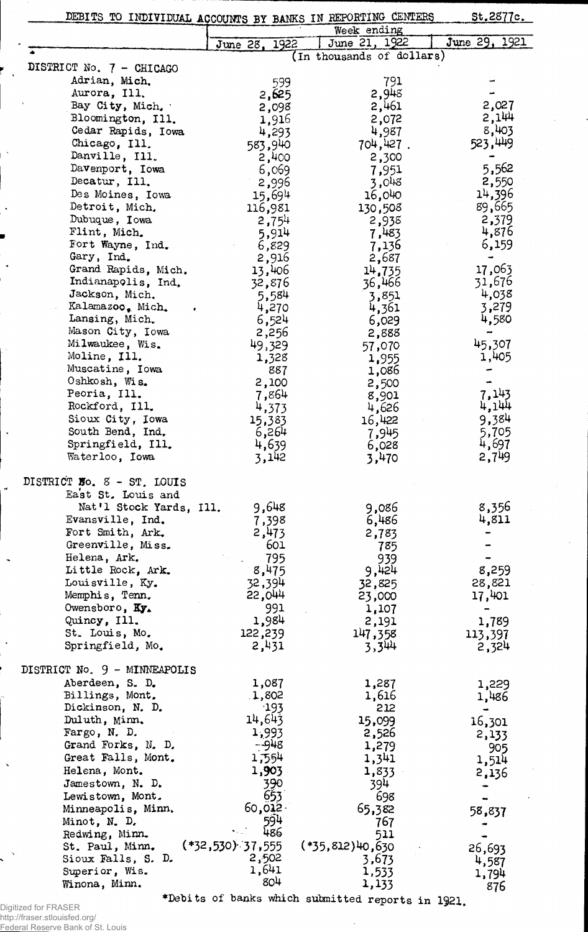|                                         |                    | DEBITS TO INDIVIDUAL ACCOUNTS BY BANKS IN REPORTING CENTERS | St.2877c.      |
|-----------------------------------------|--------------------|-------------------------------------------------------------|----------------|
|                                         |                    | Week ending                                                 |                |
|                                         | June 28, 1922      | June 21, 1922                                               | June 29, 1921  |
|                                         |                    | (In thousands of dollars)                                   |                |
| DISTRICT No. 7 - CHICAGO                |                    |                                                             |                |
| Adrian, Mich.                           | 599                | 791                                                         |                |
| Aurora, Ill.                            | 2,625              | 2,948                                                       |                |
| Bay City, Mich.                         | 2,098              | 2,461                                                       | 2,027          |
| Bloomington, Ill.<br>Cedar Rapids, Iowa | 1,916              | 2,072                                                       | 2,144<br>8,403 |
| Chicago, Ill.                           | 4,293              | 4,987<br>704,427.                                           | 523,449        |
| Danville, Ill.                          | 583,940<br>2,400   | 2,300                                                       |                |
| Davenport, Iowa                         | 6,069              | 7,951                                                       | 5,562          |
| Decatur, Ill.                           | 2,996              | 3,048                                                       | 2,550          |
| Des Moines, Iowa                        | 15,694             | 16,040                                                      | 14,396         |
| Detroit, Mich.                          | 116,981            | 130,508                                                     | 89,665         |
| Dubuque, Iowa                           | 2,754              | 2,938                                                       | 2,379          |
| Flint, Mich.                            | 5,914              | 7,483                                                       | 4,876          |
| Fort Wayne, Ind.                        | 6,829              | 7,136                                                       | 6,159          |
| Gary, Ind.                              | 2,916              | 2,687                                                       |                |
| Grand Rapids, Mich.                     | 13,406             | 14,735                                                      | 17,063         |
| Indianapolis, Ind.                      | 32,876             | 36,466                                                      | 31,676         |
| Jackson, Mich.                          | 5,584              | 3,851                                                       | 4,038          |
| Kalamazoo, Mich.                        | 4,270              | 4,361                                                       | 3,279          |
| Lansing, Mich.                          | 6,524              | 6,029                                                       | 4,580          |
| Mason City, Iowa                        | 2,256              | 2,888                                                       |                |
| Milwaukee, Wis.<br>Moline, Ill.         | 49,329             | 57,070                                                      | 45,307         |
| Muscatine, Iowa                         | 1,328              | 1,955                                                       | 1,405          |
| Oshkosh, Wis.                           | 887<br>2,100       | 1,086                                                       |                |
| Peoria, Ill.                            | 7,864              | 2,500<br>8,901                                              | 7,143          |
| Rockford, Ill.                          | 4,373              | 4,626                                                       | 4,144          |
| Sioux City, Iowa                        | 15,383             | 16,422                                                      | 9,384          |
| South Bend, Ind.                        | 6,264              | 7,945                                                       | 5,705          |
| Springfield, Ill.                       | 4,639              | 6,028                                                       | 4,697          |
| Waterloo, Iowa                          | 3,142              | 3,470                                                       | 2,749          |
|                                         |                    |                                                             |                |
| DISTRICT No. 8 - ST. LOUIS              |                    |                                                             |                |
| East St. Louis and                      |                    |                                                             |                |
| Nat'l Stock Yards, Ill.                 | 9,648              | 9,086                                                       | 8,356          |
| Evansville, Ind.<br>Fort Smith, Ark.    | 7,398<br>2,473     | 6,486                                                       | 4,811          |
| Greenville, Miss.                       | 601                | 2,783<br>785                                                |                |
| Helena, Ark.                            | 795                | 939                                                         |                |
| Little Rock, Ark.                       | 8,475              | 9,424                                                       | 8,259          |
| Louisville, Ky.                         | 32,394             | 32,825                                                      | 28,821         |
| Memphis, Tenn.                          | 55,044             | 23,000                                                      | 17,401         |
| Owensboro, Ky.                          | 991                | 1,107                                                       |                |
| Quincy, Ill.                            | 1,984              | 2,191                                                       | 1,789          |
| St. Louis, Mo.                          | 122,239            | 147,358                                                     | 113,397        |
| Springfield, Mo.                        | 2,431              | 3,344                                                       | 2,324          |
|                                         |                    |                                                             |                |
| DISTRICT No. 9 - MINNEAPOLIS            |                    |                                                             |                |
| Aberdeen, S. D.                         | 1,087              | 1,287                                                       | 1,229          |
| Billings, Mont.<br>Dickinson, N. D.     | 1,802<br>$-193$    | 1,616<br>212                                                | 1,486          |
| Duluth, Minn.                           | 14,643             | 15,099                                                      |                |
| Fargo, N. D.                            | 1,993              | 2,526                                                       | 16,301         |
| Grand Forks, N. D.                      | $-948$             | 1,279                                                       | 2,133<br>905   |
| Great Falls, Mont.                      | 1,554              | 1,341                                                       | 1,514          |
| Helena, Mont.                           | 1,903              | 1,833                                                       | 2,136          |
| Jamestown, N. D.                        | 390                | 394.                                                        |                |
| Lewistown, Mont.                        | 653                | 698                                                         |                |
| Minneapolis, Minn.                      | 60,012             | 65,382                                                      | 58,837         |
| Minot, N. D.                            | 594                | 767                                                         |                |
| Redwing, Minn.                          | 486                | 511                                                         |                |
| St. Paul, Minn.                         | $(*32,530)$ 37,555 | $(*35, 812)40, 630$                                         | 26,693         |
| Sioux Falls, S. D.                      | 2,502              | 3,673                                                       | 4,587          |
| Superior, Wis.                          | 1,641<br>804       | 1,533                                                       | 1,794          |
| Winona, Minn.                           |                    | 1,133                                                       | 876            |

J.

\*Debits of banks which submitted reports in  $1921$ ,

 $\ddot{\phantom{a}}$ 

Digitized for FRASER http://fraser.stlouisfed.org/ Federal Reserve Bank of St. Louis

 $\bar{\mathbf{r}}$ 

 $\ddot{\phantom{1}}$ 

ż

 $\ddot{\phantom{1}}$ 

À

 $\ddot{\phantom{1}}$ 

 $\overline{a}$ 

 $\overline{\phantom{a}}$ 

 $\ddot{\phantom{a}}$ 

 $\ddot{\phantom{a}}$ 

ï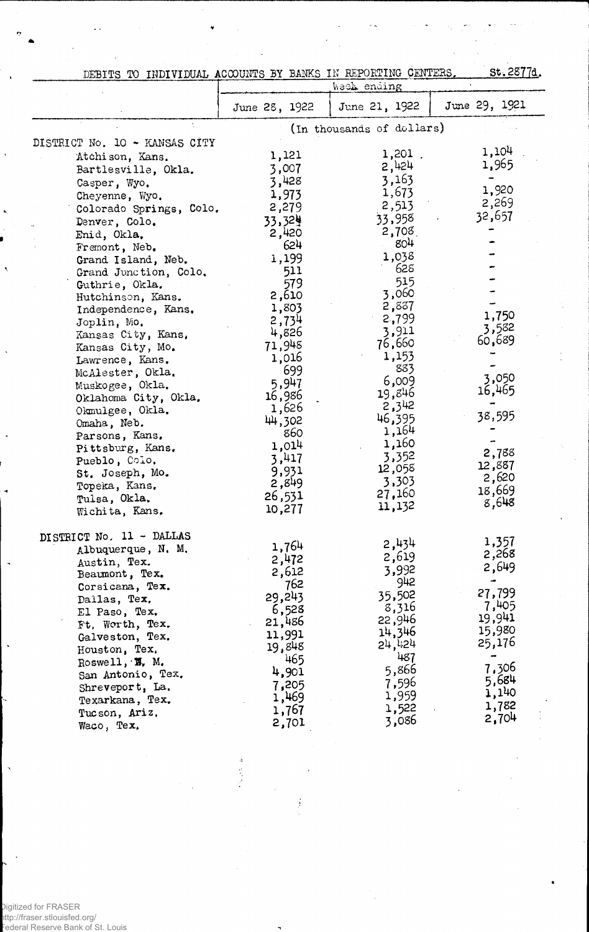| DEBITS TO INDIVIDUAL ACCOUNTS BY BANKS IN REPORTING CENTERS. |  |  | <u>st.2877d</u> |
|--------------------------------------------------------------|--|--|-----------------|

|                               | Week ending   |                           |                 |  |  |  |  |
|-------------------------------|---------------|---------------------------|-----------------|--|--|--|--|
|                               | June 28, 1922 | June 21, 1922             | June 29, 1921   |  |  |  |  |
|                               |               | (In thousands of dollars) |                 |  |  |  |  |
| DISTRICT No. 10 - KANSAS CITY |               |                           |                 |  |  |  |  |
| Atchison, Kans.               | 1,121         | 1,201.                    | 1,104           |  |  |  |  |
| Bartlesville, Okla.           | 3,007         | 2,424                     | 1,965           |  |  |  |  |
| Casper, Wyo.                  | 3,428         | 3,163                     |                 |  |  |  |  |
| Cheyenne, Wyo.                | 1,973         | 1,673                     | 1,920           |  |  |  |  |
| Colorado Springs, Colo.       | 2,279         | 2,513                     | 2,269           |  |  |  |  |
| Denver, Colo.                 | 33,324        | 33,958                    | 32,657          |  |  |  |  |
| Enid, Okla.                   | 2,420         | 2,708                     |                 |  |  |  |  |
| Fremont, Neb.                 | 624           | 80 <sup>4</sup>           |                 |  |  |  |  |
| Grand Island, Neb.            | 1,199         | 1,038                     |                 |  |  |  |  |
| Grand Junction, Colo.         | 511           | 628                       |                 |  |  |  |  |
| Guthrie, Okla.                | 579           | 515                       |                 |  |  |  |  |
| Hutchinson, Kans.             | 2,610         | 3,060                     |                 |  |  |  |  |
| Independence, Kans.           | 1,803         | 2,837                     |                 |  |  |  |  |
| Joplin, Mo.                   | 2,734         | 2,799                     | 1,750           |  |  |  |  |
| Kansas City, Kans,            | 4,826         | 3,911                     | 3,582           |  |  |  |  |
| Kansas City, Mo.              | 71,948        | 76,660                    | 60,689          |  |  |  |  |
| Lawrence, Kans.               | 1,016         | 1,153                     |                 |  |  |  |  |
| McAlester, Okla.              | 699           | 883                       |                 |  |  |  |  |
| Muskogee, Okla.               | 5,947         | 6,009                     | 3,050           |  |  |  |  |
| Oklahoma City, Okla.          | 16,986        | 19,846                    | 16,465          |  |  |  |  |
| Okmulgee, Okla.               | 1,626         | 2,342                     |                 |  |  |  |  |
| Omaha, Neb.                   | 44,302        | 46,395                    | 38,595          |  |  |  |  |
| Parsons, Kans.                | 860           | 1,164                     |                 |  |  |  |  |
| Pittsburg, Kans.              | 1,014         | 1,160                     | 2,788           |  |  |  |  |
| Pueblo, Colo.                 | 3,417         | 3,352                     | 12,887          |  |  |  |  |
| St. Joseph, Mo.               | 9,931         | 12,058                    | 2,620           |  |  |  |  |
| Topeka, Kans.                 | 2,849         | 3,303                     | 18,669          |  |  |  |  |
| Tulsa, Okla.                  | 26,531        | 27,160                    | 8,648           |  |  |  |  |
| Wichita, Kans.                | 10,277        | 11,132                    |                 |  |  |  |  |
| DISTRICT No. 11 - DALLAS      |               |                           |                 |  |  |  |  |
| Albuquerque, N. M.            | 1,764         | 2,434                     | 1,357           |  |  |  |  |
| Austin, Tex.                  | 2,472         | 2,619                     | 2,268           |  |  |  |  |
| Beaumont, Tex.                | 2,612         | 3,992                     | 2,649           |  |  |  |  |
| Corsicana, Tex.               | 762           | 942                       | ÷               |  |  |  |  |
| Dallas, Tex.                  | 29,243        | 35,502                    | 27,799          |  |  |  |  |
| El Paso, Tex.                 | 6,528         | 8,316                     | 7,405<br>19,941 |  |  |  |  |
| Ft. Worth, Tex.               | 21,486        | 22,946                    | 15,980          |  |  |  |  |
| Galveston, Tex.               | 11,991        | 14,346                    | 25,176          |  |  |  |  |
| Houston, Tex.                 | 19,848        | 24,424                    |                 |  |  |  |  |
| Roswell, $\mathbf{W}$ . M.    | 465           | 487                       | 7,306           |  |  |  |  |
| San Antonio, Tex.             | 4,901         | 5,866                     | 5,684           |  |  |  |  |
| Shreveport, La.               | 7,205         | 7,596                     | 1,140           |  |  |  |  |
| Texarkana, Tex.               | 1,469         | 1,959                     | 1,782           |  |  |  |  |
| Tucson, Ariz.                 | 1,767         | 1,522                     | 2,704           |  |  |  |  |
| Waco, Tex.                    | 2,701         | 3,086                     |                 |  |  |  |  |

Ä,